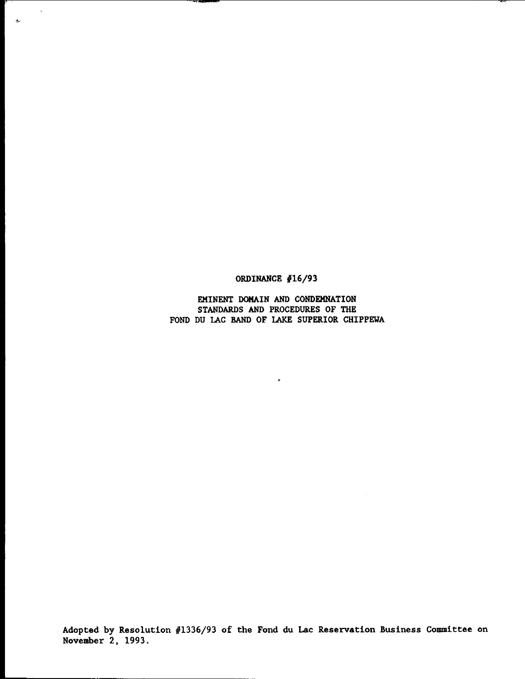ORDINANCE *116/93*

 $\mathcal{A}$ 

 $\sigma$ 

EMINENT DOMAIN AND CONDEMNATION STANDARDS AND PROCEDURES OF THE FOND DU LAC BAND OF LAKE SUPERIOR CHIPPEWA

 $\epsilon$ 

Adopted by Resolution *11336/93* of the Fond du Lac Reservation Business Committee on November 2, 1993.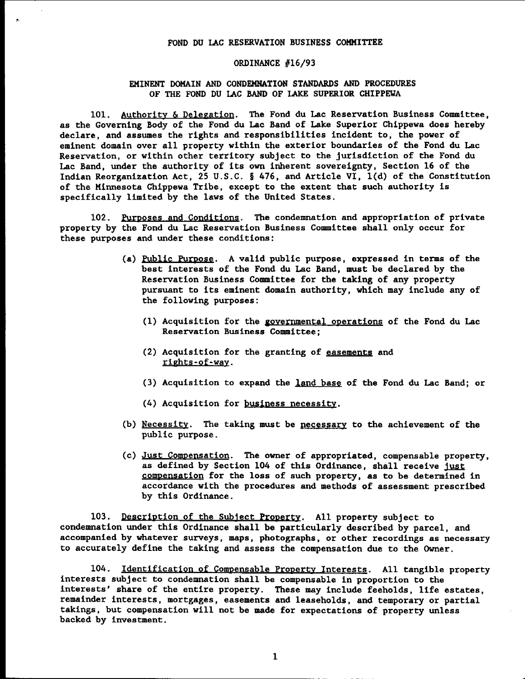## FOND DU lAC RESERVATION BUSINESS COMMITTEE

## ORDINANCE *016/93*

## EKINENT DOMAIN AND CONDEMNATION STANDARDS AND PROCEDURES OF THE FOND DU lAC BAND OF LAKE SUPERIOR CHIPPEWA

101. Authority & Delegation. The Fond du Lac Reservation Business Committee, as the Governing Body of the Fond du Lac Band of Lake Superior Chippewa does hereby declare, and assumes the rights and responsibilities incident to, the power of eminent domain over all property within the exterior boundaries of the Fond du Lac Reservation, or within other territory subject to the jurisdiction of the Fond du Lac Band, under the authority of its own inherent sovereignty, Section 16 of the Indian Reorganization Act, 25 U.S.C. § 476, and Article VI, l(d) of the Constitution of the Minnesota Chippewa Tribe, except to the extent that such authority is specifically limited by the laws of the United States.

102. Purposes and Conditions. The condemnation and appropriation of private property by the Fond du Lac Reservation Business Committee shall only occur for these purposes and under these conditions:

- (a) Public Purpose. A valid public purpose, expressed in terms of the best interests of the Fond du Lac Band, must be declared by the Reservation Business Committee for the taking of any property pursuant to its eminent domain authority, which may include any of the following purposes:
	- $(1)$  Acquisition for the governmental operations of the Fond du Lac Reservation Business Committee;
	- (2) Acquisition for the granting of easements and rights-ot-way.
	- (3) Acquisition to expand the land base of the Fond du Lac Band; or
	- (4) Acquisition for business necessity.
- (b) Necessity. The taking must be necessary to the achievement of the public purpose.
- (c) Just Compensation. The owner of appropriated, compensable property, as defined by Section 104 of this Ordinance, shall receive just compensation for the loss of such property, as to be determined in accordance with the procedures and methods of assessment prescribed by this Ordinance.

103. Description of the Subject Property. All property subject to condemnation under this Ordinance shall be particularly described by parcel, and accompanied by whatever surveys, maps, photographs, or other recordings as necessary to accurately define the taking and assess the compensation due to the Owner.

104. Identification of Compensable Property Interests. All tangible property interests subject to condemnation shall be compensable in proportion to the interests' share of the entire property. These may include feeholds, life estates, remainder interests, mortgages, easements and leaseholds, and temporary or partial takings, but compensation will not be made for expectations of property unless backed by investment.

1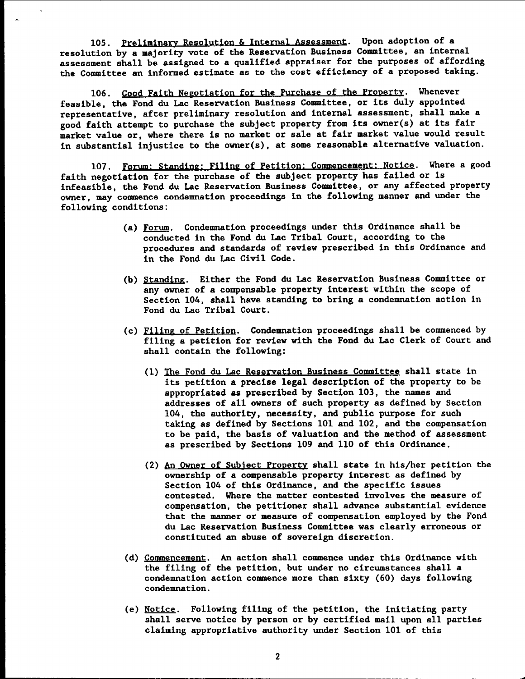105. Preliminary Resolution & Internal Assessment. Upon adoption of a resolution by a majority vote of the Reservation Business Committee, an internal assessment shall be assigned to a qualified appraiser for the purposes of affording the Committee an informed estimate as to the cost efficiency of a proposed taking.

106. Good Faith Negotiation for the Purchase of the Property. Whenever feasible, the Fond du Lac Reservation Business Committee, or its duly appointed representative, after preliminary resolution and internal assessment, shall make a good faith attempt to purchase the subject property from its owner(s) at its fair market value or, where there is no market or sale at fair market value would result in substantial injustice to the owner(s), at some reasonable alternative valuation.

107. Forum: Standing: Filing of Petition: Commencement: Notice. Where a good faith negotiation for the purchase of the subject property has failed or is infeasible, the Fond du Lac Reservation Business Committee, or any affected property owner, may commence condemnation proceedings in the following manner and under the following conditions:

- (a) Forum. Condemnation proceedings under this Ordinance shall be conducted in the Fond du Lac Tribal Court, according to the procedures and standards of review prescribed in this Ordinance and in the Fond du Lac Civil Code.
- (b) Standing. Either the Fond du Lac Reservation Business Committee or any owner of a compensable property interest within the scope of Section 104, shall have standing to bring a condemnation action in Fond du Lac Tribal Court.
- (c) Filing of Petition. Condemnation proceedings shall be commenced by filing a petition for review with the Fond du Lac Clerk of Court and shall contain the following:
	- (1) The Fond du Lac Reservation Business COmmittee shall state in its petition a precise legal description of the property to be appropriated as prescribed by Section 103, the names and addresses of all owners of such property as defined by Section 104, the authority. necessity, and public purpose for such taking as defined by Sections 101 and 102, and the compensation to be paid, the basis of valuation and the method of assessment as prescribed by Sections 109 and 110 of this Ordinance.
	- (2) An Owner of Subject Property shall state in his/her petition the ownership of a compensable property interest as defined by Section 104 of this Ordinance, and the specific issues contested. Where the matter contested involves the measure of compensation, the petitioner shall advance substantial evidence that the manner or measure of compensation employed by the Fond du Lac Reservation Business Committee was clearly erroneous or constituted an abuse of sovereign discretion.
- (d) COmmencement. An action shall commence under this Ordinance with the filing of the petition, but under no circumstances shall a condemnation action commence more than sixty (60) days following condemnation.
- (e) Notice. Following filing of the petition, the initiating party shall serve notice by person or by certified mail upon all parties claiming appropriative authority under Section 101 of this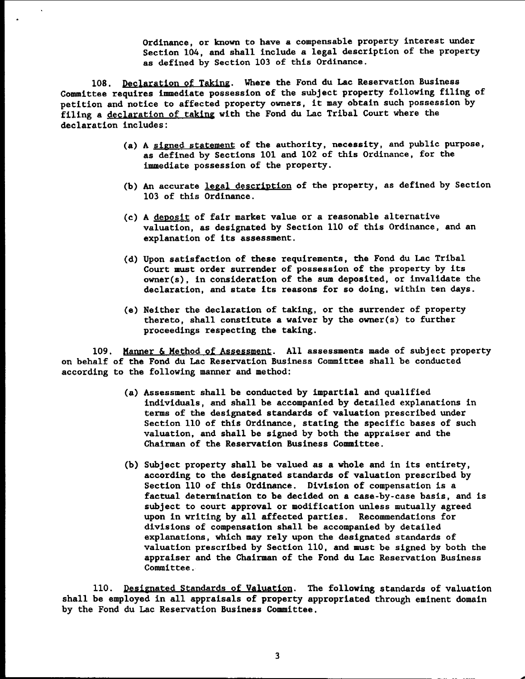Ordinance, or known to have a compensable property interest under Section 104, and shall include a legal description of the property as defined by Section 103 of this Ordinance.

108. Declaration of Taking. Where the Fond du Lac Reservation Business Committee requires immediate possession of the subject property following filing of petition and notice to affected property owners, it may obtain such possession by filing a declaration of taking with the Fond du Lac Tribal Court where the declaration includes:

- (a) A signed statement of the authority, necessity, and public purpose, as defined by Sections 101 and 102 of this Ordinance, for the immediate possession of the property.
- (b) An accurate legal description of the property, as defined by Section 103 of this Ordinance.
- (c) A deposit of fair market value or a reasonable alternative valuation, as designated by Section 110 of this Ordinance, and an explanation of its assessment.
- (d) Upon satisfaction of these requirements, the Fond du Lac Tribal Court must order surrender of possession of the property by its owner(s), in consideration of the sum deposited, or invalidate the declaration, and state its reasons for so doing, within ten days.
- (e) Neither the declaration of taking, or the surrender of property thereto, shall constitute a waiver by the owner(s) to further proceedings respecting the taking.

109. Manner & Method of Assessment. All assessments made of subject property on behalf of the Fond du Lac Reservation Business Committee shall be conducted according to the following manner and method:

- (a) Assessment shall be conducted by impartial and qualified individuals, and shall be accompanied by detailed explanations in terms of the designated standards of valuation prescribed under Section 110 of this Ordinance, stating the specific bases of such valuation, and shall be signed by both the appraiser and the Chairman of the Reservation Business Committee.
- (b) Subject property shall be valued as a whole and in its entirety, according to the designated standards of valuation prescribed by Section 110 of this Ordinance. Division of compensation is a factual determination to be decided on a case-by-case basis, and is subject to court approval or modification unless mutually agreed upon in writing by all affected parties. Recommendations for divisions of compensation shall be accompanied by detailed explanations, which may rely upon the designated standards of valuation prescribed by Section 110, and must be signed by both the appraiser and the Chairman of the Fond du Lac Reservation Business Committee.

110. Designated Standards of Valuation. The following standards of valuation shall be employed in all appraisals of property appropriated through eminent domain by the Fond du Lac Reservation Business Committee.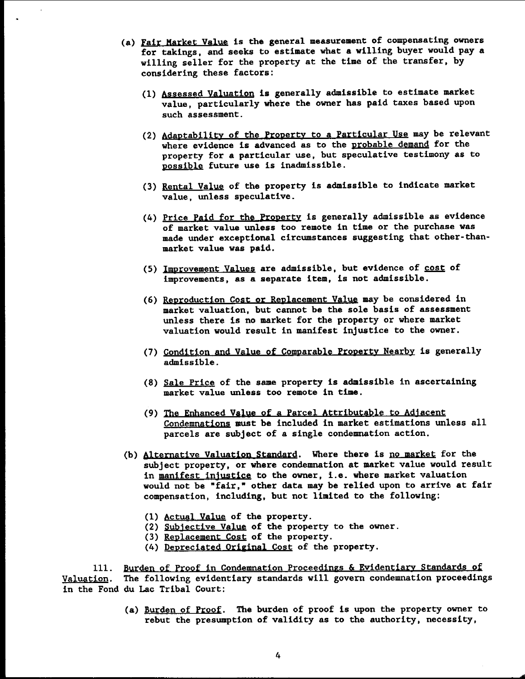- (a) Fair Market Value is the general measurement of compensating owners for takings, and seeks to estimate what a willing buyer would pay a willing seller for the property at the time of the transfer, by considering these factors:
	- (1) Assessed Valuation is generally admissible to estimate market value, particularly where the owner has paid taxes based upon such assessment.
	- (2) Adaptability of the Property to a Particular Use may be relevant where evidence is advanced as to the probable demand for the property for a particular use, but speculative testimony as to possible future use is inadmissible.
	- (3) Rental Value of the property is admissible to indicate market value, unless speculative.
	- (4) Price Paid for the Property is generally admissible as evidence of market value unless too remote in time or the purchase was made under exceptional circumstances suggesting that other-thanmarket value was paid.
	- (5) Improvement Values are admissible, but evidence of cost of improvements, as a separate item, is not admissible.
	- (6) Reproduction Cost or Replacement Value may be considered in market valuation, but cannot be the sole basis of assessment unless there is no market for the property or where market valuation would result in manifest injustice to the owner.
	- (7) Condition and Value of Comparable Property Nearby is generally admissible.
	- (8) Sale Price of the same property is admissible in ascertaining market value unless too remote in time.
	- (9) The Enhanced Value of a Parcel Attributable to Adjacent Condemnations must be included in market estimations unless all parcels are subject of a single condemnation action.
- (b) Alternatiye Valuation Standard. Where there is no market for the subject property, or where condemnation at market value would result in manifest injustice to the owner, i.e. where market valuation would not be "fair," other data may be relied upon to arrive at fair compensation, including. but not limited to the following:
	- (1) Actual Value of the property.
	- (2) Subjective Value of the property to the owner.
	- (3) Replacement Cost of the property.
	- (4) Depreciated Original Cost of the property.

111. Burden of Proof in Condemnation Proceedings & Evidentiary Standards of Valuation. The following evidentiary standards will govern condemnation proceedings in the Fond du Lac Tribal Court:

> (a) Burden of Proof. The burden of proof is upon the property owner to rebut the presumption of validity as to the authority, necessity,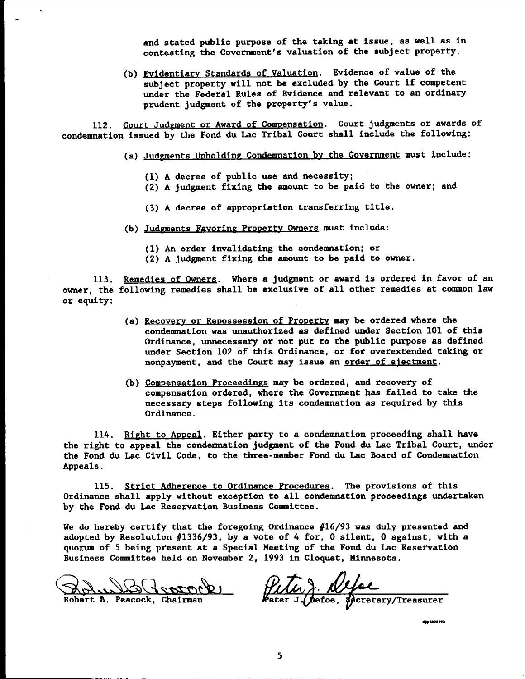and stated public purpose of the taking at issue, as well as in contesting the Government's valuation of the subject property.

(b) Eyidentiary Standards of valuation. Evidence of value of the subject property will not be excluded by the Court if competent under the Federal Rules of Evidence and relevant to an ordinary prudent judgment of the property's value.

112. Court Judgment or Award of Compensation. Court judgments or awards of condemnation issued by the Fond du Lac Tribal Court shall include the following:

- (a) Judgments Upholding Condemnation by the Government must include:
	- (1) A decree of public use and necessity;
	- (2) A judgment fixing the amount to be paid to the owner; and
	- (3) A decree of appropriation transferring title.
- (b) Judgments Fayoring Property Owners must include:
	- (1) An order invalidating the condemnation; or
	- (2) A judgment fixing the amount to be paid to owner.

113. Remedies of Owners. Where a judgment or award is ordered in favor of an owner, the following remedies shall be exclusive of all other remedies at common law or equity:

- (a) Recovety or Repossession of Property may be ordered where the condemnation was unauthorized as defined under Section 101 of this Ordinance, unnecessary or not put to the public purpose as defined under Section 102 of this Ordinance, or for overextended taking or nonpayment, and the Court may issue an order of ejectment.
- (b) Compensation Proceedings may be ordered, and recovery of compensation ordered, where the Government has failed to take the necessary steps following its condemnation as required by this Ordinance.

114. Right to Appeal. Either party to a condemnation proceeding shall have the right to appeal the condemnation judgment of the Fond du Lac Tribal Court, under the Fond du Lac Civil Code, to the three-member Fond du Lac Board of Condemnation Appeals.

115. Strict Adherence to Ordinance Procedures. The provisions of this Ordinance shall apply without exception to all condemnation proceedings undertaken by the Fond du Lac Reservation Business Committee.

We do hereby certify that the foregoing Ordinance  $#16/93$  was duly presented and adopted by Resolution  $#1336/93$ , by a vote of 4 for, 0 silent, 0 against, with a quorum of 5 being present at a Special Meeting of the Fond du Lac Reservation Business Committee held on November 2, 1993 in Cloquet, Minnesota.

 $\sim$   $2\sigma$ 

Robert B. Peacock, Chairman

Peter) Nefee

4501201102